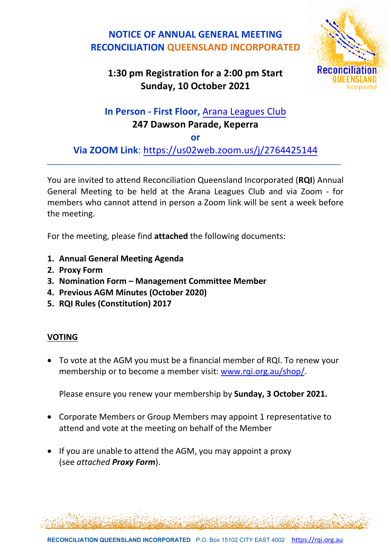## **NOTICE OF ANNUAL GENERAL MEETING RECONCILIATION QUEENSLAND INCORPORATED**



## **1:30 pm Registration for a 2:00 pm Start Sunday, 10 October 2021**

# **In Person - First Floor,** [Arana Leagues](https://www.google.com/maps/place/Arana+Leagues+Club/@-27.3998287,152.9614383,17z/data=!4m12!1m6!3m5!1s0x6b915651639ef0cf:0x35b3f724b8b780ed!2sArana+Leagues+Club!8m2!3d-27.3999715!4d152.9614562!3m4!1s0x6b915651639ef0cf:0x35b3f724b8b780ed!8m2!3d-27.3999715!4d152.9614562) Club **247 Dawson Parade, Keperra**

**or**

**Via ZOOM Link**:<https://us02web.zoom.us/j/2764425144> \_\_\_\_\_\_\_\_\_\_\_\_\_\_\_\_\_\_\_\_\_\_\_\_\_\_\_\_\_\_\_\_\_\_\_\_\_\_\_\_\_\_\_\_\_\_\_\_\_\_\_\_\_\_\_\_\_\_\_\_\_\_\_\_\_\_\_

You are invited to attend Reconciliation Queensland Incorporated (**RQI**) Annual General Meeting to be held at the Arana Leagues Club and via Zoom - for members who cannot attend in person a Zoom link will be sent a week before the meeting.

For the meeting, please find **attached** the following documents:

- **1. Annual General Meeting Agenda**
- **2. Proxy Form**
- **3. Nomination Form Management Committee Member**
- **4. Previous AGM Minutes (October 2020)**
- **5. RQI Rules (Constitution) 2017**

#### **VOTING**

• To vote at the AGM you must be a financial member of RQI. To renew your membership or to become a member visit: [www.rqi.org.au/shop/.](http://www.rqi.org.au/shop/)

Please ensure you renew your membership by **Sunday, 3 October 2021.**

- Corporate Members or Group Members may appoint 1 representative to attend and vote at the meeting on behalf of the Member
- If you are unable to attend the AGM, you may appoint a proxy (see *attached Proxy Form*).